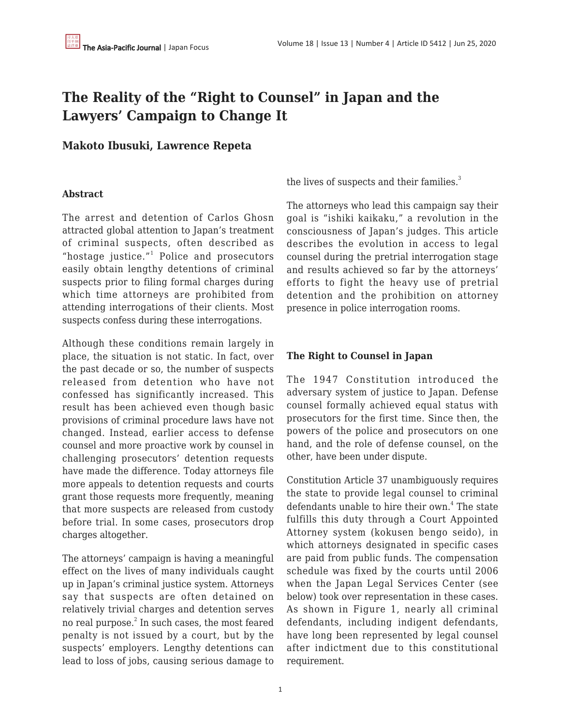## **The Reality of the "Right to Counsel" in Japan and the Lawyers' Campaign to Change It**

## **Makoto Ibusuki, Lawrence Repeta**

## **Abstract**

The arrest and detention of Carlos Ghosn attracted global attention to Japan's treatment of criminal suspects, often described as "hostage justice."<sup>1</sup> Police and prosecutors easily obtain lengthy detentions of criminal suspects prior to filing formal charges during which time attorneys are prohibited from attending interrogations of their clients. Most suspects confess during these interrogations.

Although these conditions remain largely in place, the situation is not static. In fact, over the past decade or so, the number of suspects released from detention who have not confessed has significantly increased. This result has been achieved even though basic provisions of criminal procedure laws have not changed. Instead, earlier access to defense counsel and more proactive work by counsel in challenging prosecutors' detention requests have made the difference. Today attorneys file more appeals to detention requests and courts grant those requests more frequently, meaning that more suspects are released from custody before trial. In some cases, prosecutors drop charges altogether.

The attorneys' campaign is having a meaningful effect on the lives of many individuals caught up in Japan's criminal justice system. Attorneys say that suspects are often detained on relatively trivial charges and detention serves no real purpose. $^2$  In such cases, the most feared penalty is not issued by a court, but by the suspects' employers. Lengthy detentions can lead to loss of jobs, causing serious damage to the lives of suspects and their families.<sup>3</sup>

The attorneys who lead this campaign say their goal is "ishiki kaikaku," a revolution in the consciousness of Japan's judges. This article describes the evolution in access to legal counsel during the pretrial interrogation stage and results achieved so far by the attorneys' efforts to fight the heavy use of pretrial detention and the prohibition on attorney presence in police interrogation rooms.

## **The Right to Counsel in Japan**

The 1947 Constitution introduced the adversary system of justice to Japan. Defense counsel formally achieved equal status with prosecutors for the first time. Since then, the powers of the police and prosecutors on one hand, and the role of defense counsel, on the other, have been under dispute.

Constitution Article 37 unambiguously requires the state to provide legal counsel to criminal defendants unable to hire their own.<sup>4</sup> The state fulfills this duty through a Court Appointed Attorney system (kokusen bengo seido), in which attorneys designated in specific cases are paid from public funds. The compensation schedule was fixed by the courts until 2006 when the Japan Legal Services Center (see below) took over representation in these cases. As shown in Figure 1, nearly all criminal defendants, including indigent defendants, have long been represented by legal counsel after indictment due to this constitutional requirement.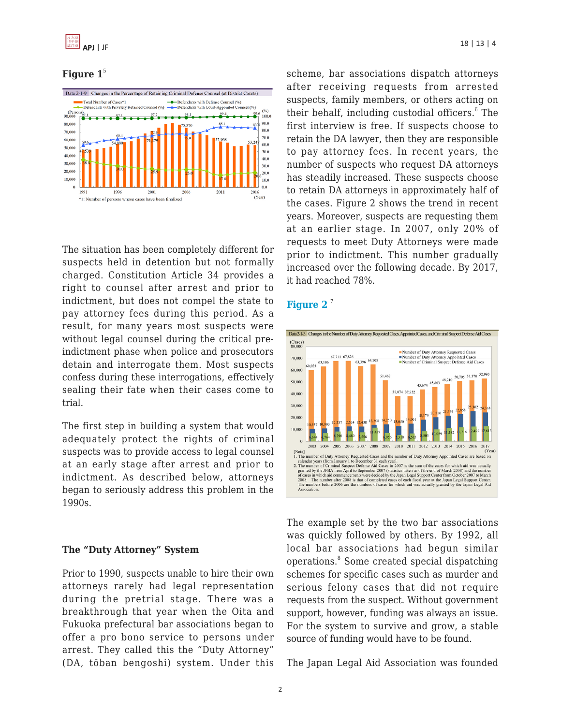#### Figure  $1^5$



The situation has been completely different for suspects held in detention but not formally charged. Constitution Article 34 provides a right to counsel after arrest and prior to indictment, but does not compel the state to pay attorney fees during this period. As a result, for many years most suspects were without legal counsel during the critical preindictment phase when police and prosecutors detain and interrogate them. Most suspects confess during these interrogations, effectively sealing their fate when their cases come to trial.

The first step in building a system that would adequately protect the rights of criminal suspects was to provide access to legal counsel at an early stage after arrest and prior to indictment. As described below, attorneys began to seriously address this problem in the 1990s.

#### **The "Duty Attorney" System**

Prior to 1990, suspects unable to hire their own attorneys rarely had legal representation during the pretrial stage. There was a breakthrough that year when the Oita and Fukuoka prefectural bar associations began to offer a pro bono service to persons under arrest. They called this the "Duty Attorney" (DA, tōban bengoshi) system. Under this scheme, bar associations dispatch attorneys after receiving requests from arrested suspects, family members, or others acting on their behalf, including custodial officers.<sup>6</sup> The first interview is free. If suspects choose to retain the DA lawyer, then they are responsible to pay attorney fees. In recent years, the number of suspects who request DA attorneys has steadily increased. These suspects choose to retain DA attorneys in approximately half of the cases. Figure 2 shows the trend in recent years. Moreover, suspects are requesting them at an earlier stage. In 2007, only 20% of requests to meet Duty Attorneys were made prior to indictment. This number gradually increased over the following decade. By 2017, it had reached 78%.

#### **[Figure 2](https://www.nichibenren.or.jp/library/en/about/data/WhitePaper2017.pdf)** <sup>7</sup>



The example set by the two bar associations was quickly followed by others. By 1992, all local bar associations had begun similar operations.<sup>8</sup> Some created special dispatching schemes for specific cases such as murder and serious felony cases that did not require requests from the suspect. Without government support, however, funding was always an issue. For the system to survive and grow, a stable source of funding would have to be found.

The Japan Legal Aid Association was founded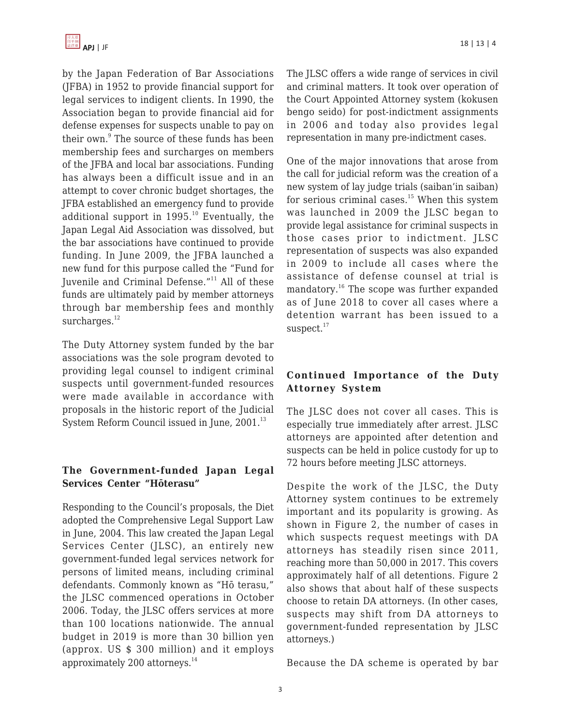by the Japan Federation of Bar Associations (JFBA) in 1952 to provide financial support for legal services to indigent clients. In 1990, the Association began to provide financial aid for defense expenses for suspects unable to pay on their own.<sup>9</sup> The source of these funds has been membership fees and surcharges on members of the JFBA and local bar associations. Funding has always been a difficult issue and in an attempt to cover chronic budget shortages, the JFBA established an emergency fund to provide additional support in  $1995.<sup>10</sup>$  Eventually, the Japan Legal Aid Association was dissolved, but the bar associations have continued to provide funding. In June 2009, the JFBA launched a new fund for this purpose called the "Fund for Juvenile and Criminal Defense."<sup>11</sup> All of these funds are ultimately paid by member attorneys through bar membership fees and monthly surcharges. $12$ 

The Duty Attorney system funded by the bar associations was the sole program devoted to providing legal counsel to indigent criminal suspects until government-funded resources were made available in accordance with proposals in the historic report of the Judicial System Reform Council issued in June, 2001.<sup>13</sup>

## **The Government-funded Japan Legal Services Center "Hōterasu"**

Responding to the Council's proposals, the Diet adopted the Comprehensive Legal Support Law in June, 2004. This law created the Japan Legal Services Center (JLSC), an entirely new government-funded legal services network for persons of limited means, including criminal defendants. Commonly known as "Hō terasu," the JLSC commenced operations in October 2006. Today, the JLSC offers services at more than 100 locations nationwide. The annual budget in 2019 is more than 30 billion yen (approx. US \$ 300 million) and it employs approximately 200 attorneys.<sup>14</sup>

The JLSC offers a wide range of services in civil and criminal matters. It took over operation of the Court Appointed Attorney system (kokusen bengo seido) for post-indictment assignments in 2006 and today also provides legal representation in many pre-indictment cases.

One of the major innovations that arose from the call for judicial reform was the creation of a new system of lay judge trials (saiban'in saiban) for serious criminal cases. $15$  When this system was launched in 2009 the JLSC began to provide legal assistance for criminal suspects in those cases prior to indictment. JLSC representation of suspects was also expanded in 2009 to include all cases where the assistance of defense counsel at trial is mandatory.<sup>16</sup> The scope was further expanded as of June 2018 to cover all cases where a detention warrant has been issued to a suspect. $17$ 

## **Continued Importance of the Duty Attorney System**

The JLSC does not cover all cases. This is especially true immediately after arrest. JLSC attorneys are appointed after detention and suspects can be held in police custody for up to 72 hours before meeting JLSC attorneys.

Despite the work of the JLSC, the Duty Attorney system continues to be extremely important and its popularity is growing. As shown in Figure 2, the number of cases in which suspects request meetings with DA attorneys has steadily risen since 2011, reaching more than 50,000 in 2017. This covers approximately half of all detentions. Figure 2 also shows that about half of these suspects choose to retain DA attorneys. (In other cases, suspects may shift from DA attorneys to government-funded representation by JLSC attorneys.)

Because the DA scheme is operated by bar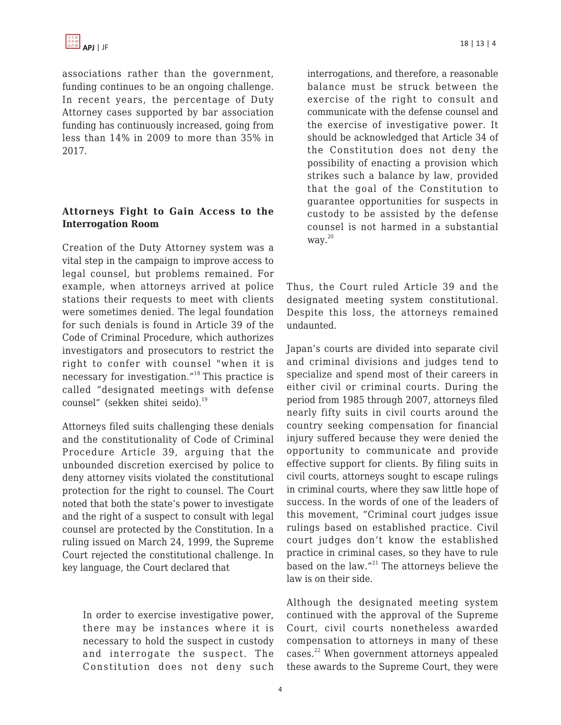associations rather than the government, funding continues to be an ongoing challenge. In recent years, the percentage of Duty Attorney cases supported by bar association funding has continuously increased, going from less than 14% in 2009 to more than 35% in 2017.

## **Attorneys Fight to Gain Access to the Interrogation Room**

Creation of the Duty Attorney system was a vital step in the campaign to improve access to legal counsel, but problems remained. For example, when attorneys arrived at police stations their requests to meet with clients were sometimes denied. The legal foundation for such denials is found in Article 39 of the Code of Criminal Procedure, which authorizes investigators and prosecutors to restrict the right to confer with counsel "when it is necessary for investigation."<sup>18</sup> This practice is called "designated meetings with defense counsel" (sekken shitei seido).<sup>19</sup>

Attorneys filed suits challenging these denials and the constitutionality of Code of Criminal Procedure Article 39, arguing that the unbounded discretion exercised by police to deny attorney visits violated the constitutional protection for the right to counsel. The Court noted that both the state's power to investigate and the right of a suspect to consult with legal counsel are protected by the Constitution. In a ruling issued on March 24, 1999, the Supreme Court rejected the constitutional challenge. In key language, the Court declared that

In order to exercise investigative power, there may be instances where it is necessary to hold the suspect in custody and interrogate the suspect. The Constitution does not deny such interrogations, and therefore, a reasonable balance must be struck between the exercise of the right to consult and communicate with the defense counsel and the exercise of investigative power. It should be acknowledged that Article 34 of the Constitution does not deny the possibility of enacting a provision which strikes such a balance by law, provided that the goal of the Constitution to guarantee opportunities for suspects in custody to be assisted by the defense counsel is not harmed in a substantial way.<sup>20</sup>

Thus, the Court ruled Article 39 and the designated meeting system constitutional. Despite this loss, the attorneys remained undaunted.

Japan's courts are divided into separate civil and criminal divisions and judges tend to specialize and spend most of their careers in either civil or criminal courts. During the period from 1985 through 2007, attorneys filed nearly fifty suits in civil courts around the country seeking compensation for financial injury suffered because they were denied the opportunity to communicate and provide effective support for clients. By filing suits in civil courts, attorneys sought to escape rulings in criminal courts, where they saw little hope of success. In the words of one of the leaders of this movement, "Criminal court judges issue rulings based on established practice. Civil court judges don't know the established practice in criminal cases, so they have to rule based on the law."<sup>21</sup> The attorneys believe the law is on their side.

Although the designated meeting system continued with the approval of the Supreme Court, civil courts nonetheless awarded compensation to attorneys in many of these cases.<sup>22</sup> When government attorneys appealed these awards to the Supreme Court, they were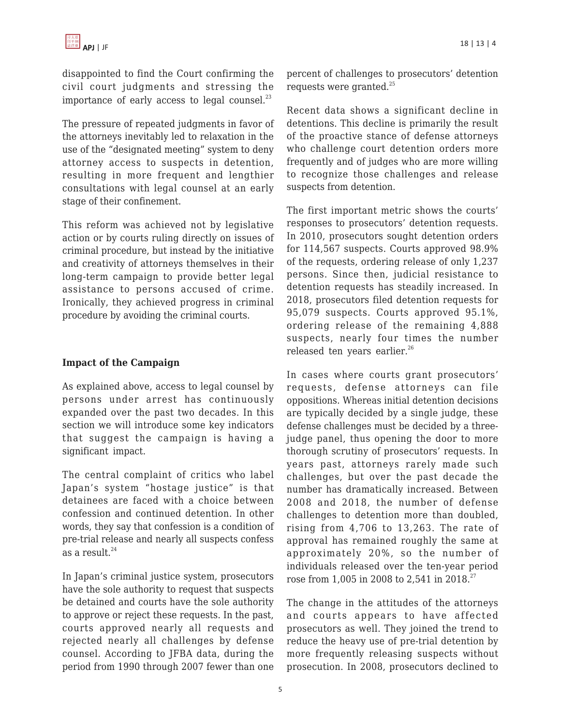disappointed to find the Court confirming the civil court judgments and stressing the importance of early access to legal counsel. $^{23}$ 

The pressure of repeated judgments in favor of the attorneys inevitably led to relaxation in the use of the "designated meeting" system to deny attorney access to suspects in detention, resulting in more frequent and lengthier consultations with legal counsel at an early stage of their confinement.

This reform was achieved not by legislative action or by courts ruling directly on issues of criminal procedure, but instead by the initiative and creativity of attorneys themselves in their long-term campaign to provide better legal assistance to persons accused of crime. Ironically, they achieved progress in criminal procedure by avoiding the criminal courts.

## **Impact of the Campaign**

As explained above, access to legal counsel by persons under arrest has continuously expanded over the past two decades. In this section we will introduce some key indicators that suggest the campaign is having a significant impact.

The central complaint of critics who label Japan's system "hostage justice" is that detainees are faced with a choice between confession and continued detention. In other words, they say that confession is a condition of pre-trial release and nearly all suspects confess as a result. $^{24}$ 

In Japan's criminal justice system, prosecutors have the sole authority to request that suspects be detained and courts have the sole authority to approve or reject these requests. In the past, courts approved nearly all requests and rejected nearly all challenges by defense counsel. According to JFBA data, during the period from 1990 through 2007 fewer than one percent of challenges to prosecutors' detention requests were granted.<sup>25</sup>

Recent data shows a significant decline in detentions. This decline is primarily the result of the proactive stance of defense attorneys who challenge court detention orders more frequently and of judges who are more willing to recognize those challenges and release suspects from detention.

The first important metric shows the courts' responses to prosecutors' detention requests. In 2010, prosecutors sought detention orders for 114,567 suspects. Courts approved 98.9% of the requests, ordering release of only 1,237 persons. Since then, judicial resistance to detention requests has steadily increased. In 2018, prosecutors filed detention requests for 95,079 suspects. Courts approved 95.1%, ordering release of the remaining 4,888 suspects, nearly four times the number released ten years earlier.<sup>26</sup>

In cases where courts grant prosecutors' requests, defense attorneys can file oppositions. Whereas initial detention decisions are typically decided by a single judge, these defense challenges must be decided by a threejudge panel, thus opening the door to more thorough scrutiny of prosecutors' requests. In years past, attorneys rarely made such challenges, but over the past decade the number has dramatically increased. Between 2008 and 2018, the number of defense challenges to detention more than doubled, rising from 4,706 to 13,263. The rate of approval has remained roughly the same at approximately 20%, so the number of individuals released over the ten-year period rose from 1,005 in 2008 to 2,541 in 2018.<sup>27</sup>

The change in the attitudes of the attorneys and courts appears to have affected prosecutors as well. They joined the trend to reduce the heavy use of pre-trial detention by more frequently releasing suspects without prosecution. In 2008, prosecutors declined to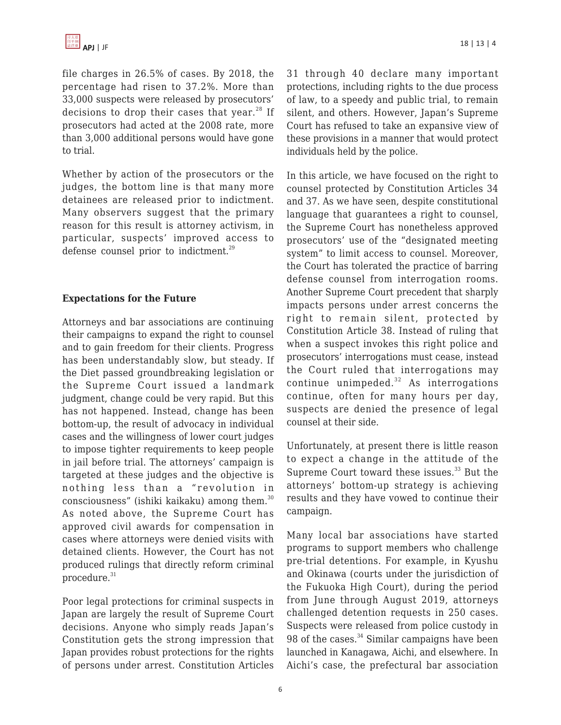file charges in 26.5% of cases. By 2018, the percentage had risen to 37.2%. More than 33,000 suspects were released by prosecutors' decisions to drop their cases that year.<sup>28</sup> If prosecutors had acted at the 2008 rate, more than 3,000 additional persons would have gone to trial.

Whether by action of the prosecutors or the judges, the bottom line is that many more detainees are released prior to indictment. Many observers suggest that the primary reason for this result is attorney activism, in particular, suspects' improved access to defense counsel prior to indictment.<sup>29</sup>

#### **Expectations for the Future**

Attorneys and bar associations are continuing their campaigns to expand the right to counsel and to gain freedom for their clients. Progress has been understandably slow, but steady. If the Diet passed groundbreaking legislation or the Supreme Court issued a landmark judgment, change could be very rapid. But this has not happened. Instead, change has been bottom-up, the result of advocacy in individual cases and the willingness of lower court judges to impose tighter requirements to keep people in jail before trial. The attorneys' campaign is targeted at these judges and the objective is nothing less than a "revolution in consciousness" (ishiki kaikaku) among them.<sup>30</sup> As noted above, the Supreme Court has approved civil awards for compensation in cases where attorneys were denied visits with detained clients. However, the Court has not produced rulings that directly reform criminal procedure. $31$ 

Poor legal protections for criminal suspects in Japan are largely the result of Supreme Court decisions. Anyone who simply reads Japan's Constitution gets the strong impression that Japan provides robust protections for the rights of persons under arrest. Constitution Articles 31 through 40 declare many important protections, including rights to the due process of law, to a speedy and public trial, to remain silent, and others. However, Japan's Supreme Court has refused to take an expansive view of these provisions in a manner that would protect individuals held by the police.

In this article, we have focused on the right to counsel protected by Constitution Articles 34 and 37. As we have seen, despite constitutional language that guarantees a right to counsel, the Supreme Court has nonetheless approved prosecutors' use of the "designated meeting system" to limit access to counsel. Moreover, the Court has tolerated the practice of barring defense counsel from interrogation rooms. Another Supreme Court precedent that sharply impacts persons under arrest concerns the right to remain silent, protected by Constitution Article 38. Instead of ruling that when a suspect invokes this right police and prosecutors' interrogations must cease, instead the Court ruled that interrogations may continue unimpeded. $32$  As interrogations continue, often for many hours per day, suspects are denied the presence of legal counsel at their side.

Unfortunately, at present there is little reason to expect a change in the attitude of the Supreme Court toward these issues.<sup>33</sup> But the attorneys' bottom-up strategy is achieving results and they have vowed to continue their campaign.

Many local bar associations have started programs to support members who challenge pre-trial detentions. For example, in Kyushu and Okinawa (courts under the jurisdiction of the Fukuoka High Court), during the period from June through August 2019, attorneys challenged detention requests in 250 cases. Suspects were released from police custody in 98 of the cases. $34$  Similar campaigns have been launched in Kanagawa, Aichi, and elsewhere. In Aichi's case, the prefectural bar association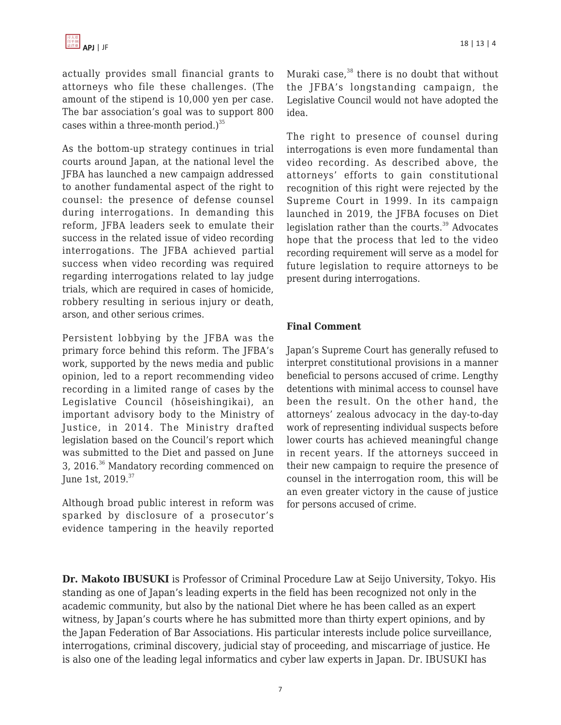actually provides small financial grants to attorneys who file these challenges. (The amount of the stipend is 10,000 yen per case. The bar association's goal was to support 800 cases within a three-month period.) $35$ 

As the bottom-up strategy continues in trial courts around Japan, at the national level the JFBA has launched a new campaign addressed to another fundamental aspect of the right to counsel: the presence of defense counsel during interrogations. In demanding this reform, JFBA leaders seek to emulate their success in the related issue of video recording interrogations. The JFBA achieved partial success when video recording was required regarding interrogations related to lay judge trials, which are required in cases of homicide, robbery resulting in serious injury or death, arson, and other serious crimes.

Persistent lobbying by the JFBA was the primary force behind this reform. The JFBA's work, supported by the news media and public opinion, led to a report recommending video recording in a limited range of cases by the Legislative Council (hōseishingikai), an important advisory body to the Ministry of Justice, in 2014. The Ministry drafted legislation based on the Council's report which was submitted to the Diet and passed on June 3, 2016.<sup>36</sup> Mandatory recording commenced on June 1st, 2019.<sup>37</sup>

Although broad public interest in reform was sparked by disclosure of a prosecutor's evidence tampering in the heavily reported Muraki case, $38$  there is no doubt that without the JFBA's longstanding campaign, the Legislative Council would not have adopted the idea.

The right to presence of counsel during interrogations is even more fundamental than video recording. As described above, the attorneys' efforts to gain constitutional recognition of this right were rejected by the Supreme Court in 1999. In its campaign launched in 2019, the JFBA focuses on Diet legislation rather than the courts. $39$  Advocates hope that the process that led to the video recording requirement will serve as a model for future legislation to require attorneys to be present during interrogations.

#### **Final Comment**

Japan's Supreme Court has generally refused to interpret constitutional provisions in a manner beneficial to persons accused of crime. Lengthy detentions with minimal access to counsel have been the result. On the other hand, the attorneys' zealous advocacy in the day-to-day work of representing individual suspects before lower courts has achieved meaningful change in recent years. If the attorneys succeed in their new campaign to require the presence of counsel in the interrogation room, this will be an even greater victory in the cause of justice for persons accused of crime.

**Dr. Makoto IBUSUKI** is Professor of Criminal Procedure Law at Seijo University, Tokyo. His standing as one of Japan's leading experts in the field has been recognized not only in the academic community, but also by the national Diet where he has been called as an expert witness, by Japan's courts where he has submitted more than thirty expert opinions, and by the Japan Federation of Bar Associations. His particular interests include police surveillance, interrogations, criminal discovery, judicial stay of proceeding, and miscarriage of justice. He is also one of the leading legal informatics and cyber law experts in Japan. Dr. IBUSUKI has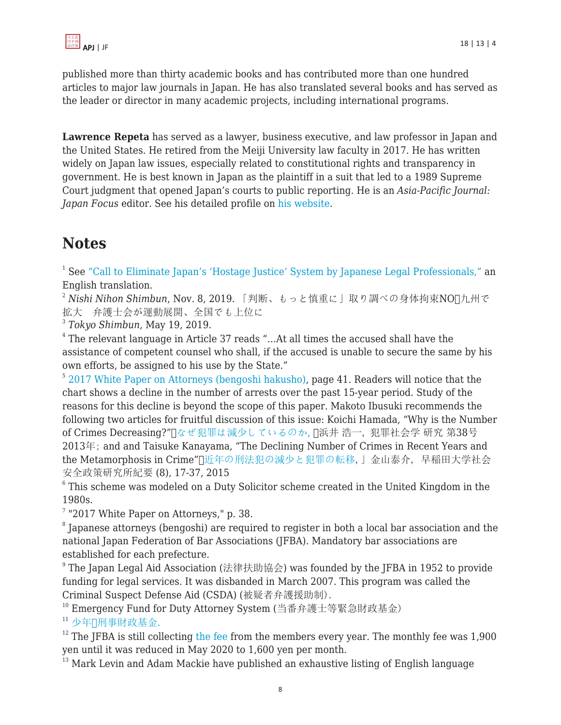

published more than thirty academic books and has contributed more than one hundred articles to major law journals in Japan. He has also translated several books and has served as the leader or director in many academic projects, including international programs.

**Lawrence Repeta** has served as a lawyer, business executive, and law professor in Japan and the United States. He retired from the Meiji University law faculty in 2017. He has written widely on Japan law issues, especially related to constitutional rights and transparency in government. He is best known in Japan as the plaintiff in a suit that led to a 1989 Supreme Court judgment that opened Japan's courts to public reporting. He is an *Asia-Pacific Journal: Japan Focus* editor. See his detailed profile on [his website](https://www.lawrencerepeta.com/).

# **Notes**

<sup>1</sup> See ["Call to Eliminate Japan's 'Hostage Justice' System by Japanese Legal Professionals,"](https://www.hrw.org/news/2019/04/10/call-eliminate-japans-hostage-justice-system-japanese-legal-professionals) an English translation.

<sup>2</sup> Nishi Nihon Shimbun, Nov. 8, 2019. 「判断、もっと慎重に」取り調べの身体拘束NOn九州で 拡大 弁護士会が運動展開、全国でも上位に

3 *Tokyo Shimbun*, May 19, 2019.

4 The relevant language in Article 37 reads "…At all times the accused shall have the assistance of competent counsel who shall, if the accused is unable to secure the same by his own efforts, be assigned to his use by the State."

<sup>5</sup> [2017 White Paper on Attorneys \(bengoshi hakusho\),](https://www.nichibenren.or.jp/library/en/about/data/WhitePaper2017.pdf) page 41. Readers will notice that the chart shows a decline in the number of arrests over the past 15-year period. Study of the reasons for this decline is beyond the scope of this paper. Makoto Ibusuki recommends the following two articles for fruitful discussion of this issue: Koichi Hamada, "Why is the Number of Crimes Decreasing?"[][なぜ犯罪は減少しているのか](https://www.jstage.jst.go.jp/article/jjscrim/38/0/38_KJ00008952449/_pdf)[,](https://www.jstage.jst.go.jp/article/jjscrim/38/0/38_KJ00008952449/_pdf) []浜井 浩一, 犯罪社会学 研究 第38号 2013年; and and Taisuke Kanayama, "The Declining Number of Crimes in Recent Years and the Metamorphosis in Crime"「[近年の刑法犯の減少と犯罪の転移,](https://www.waseda.jp/prj-wipss/ShakaiAnzenSeisakuKenkyujoKiyo_08_Kanayama.pdf)」金山泰介, 早稲田大学社会 安全政策研究所紀要 (8), 17-37, 2015

 $^6$  This scheme was modeled on a Duty Solicitor scheme created in the United Kingdom in the 1980s.

<sup>7</sup> "2017 White Paper on Attorneys," p. 38.

 $\,^8$  Japanese attorneys (bengoshi) are required to register in both a local bar association and the national Japan Federation of Bar Associations (JFBA). Mandatory bar associations are established for each prefecture.

 $^{\rm 9}$  The Japan Legal Aid Association (法律扶助協会) was founded by the JFBA in 1952 to provide funding for legal services. It was disbanded in March 2007. This program was called the Criminal Suspect Defense Aid (CSDA) (被疑者弁護援助制).

<sup>10</sup> Emergency Fund for Duty Attorney System (当番弁護士等緊急財政基金)

<sup>11</sup> [少年](https://www.toben.or.jp/message/libra/pdf/2008_11/p24-25.pdf)*[・](https://www.toben.or.jp/message/libra/pdf/2008_11/p24-25.pdf)*[刑事財政基金.](https://www.toben.or.jp/message/libra/pdf/2008_11/p24-25.pdf)

 $12$  The JFBA is still collecting [the fee](https://www.nichibenren.or.jp/library/pdf/jfba_info/rules/koji/191206_koji_4.pdf) from the members every year. The monthly fee was 1,900 yen until it was reduced in May 2020 to 1,600 yen per month.

<sup>13</sup> Mark Levin and Adam Mackie have published an exhaustive listing of English language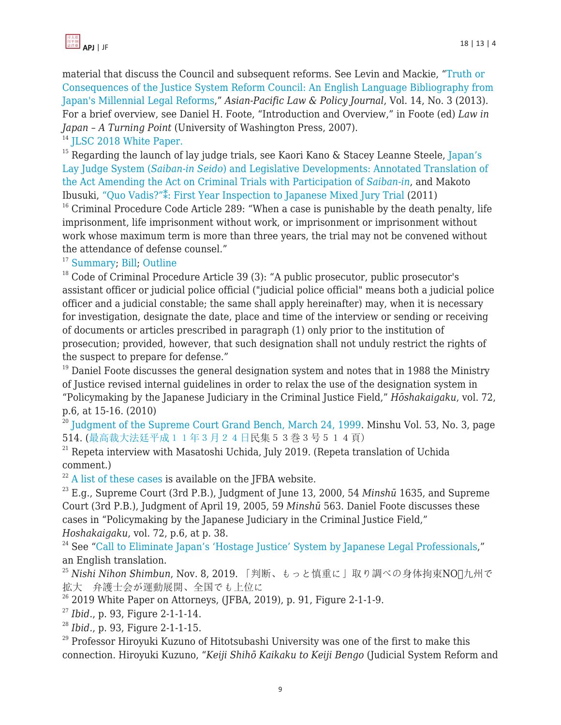

material that discuss the Council and subsequent reforms. See Levin and Mackie, ["Truth or](https://papers.ssrn.com/sol3/papers.cfm?abstract_id=2237663) [Consequences of the Justice System Reform Council: An English Language Bibliography from](https://papers.ssrn.com/sol3/papers.cfm?abstract_id=2237663) [Japan's Millennial Legal Reforms](https://papers.ssrn.com/sol3/papers.cfm?abstract_id=2237663)," *Asian-Pacific Law & Policy Journal*, Vol. 14, No. 3 (2013). For a brief overview, see Daniel H. Foote, "Introduction and Overview," in Foote (ed) *Law in Japan – A Turning Point* (University of Washington Press, 2007).

<sup>14</sup> [JLSC 2018 White Paper.](https://www.houterasu.or.jp/houterasu_gaiyou/kouhou/kankoubutsu/hakusyo/heisei30nendohakusyo.files/gaiyo.pdf)

<sup>15</sup> Regarding the launch of lay judge trials, see Kaori Kano & Stacey Leanne Steele, [Japan's](http://blog.hawaii.edu/aplpj/files/2016/09/APLPJ_17.2_Kano_Steele_Final.pdf) [Lay Judge System \(](http://blog.hawaii.edu/aplpj/files/2016/09/APLPJ_17.2_Kano_Steele_Final.pdf)*[Saiban-in Seido](http://blog.hawaii.edu/aplpj/files/2016/09/APLPJ_17.2_Kano_Steele_Final.pdf)*[\) and Legislative Developments: Annotated Translation of](http://blog.hawaii.edu/aplpj/files/2016/09/APLPJ_17.2_Kano_Steele_Final.pdf) [the Act Amending the Act on Criminal Trials with Participation of](http://blog.hawaii.edu/aplpj/files/2016/09/APLPJ_17.2_Kano_Steele_Final.pdf) *[Saiban-in](http://blog.hawaii.edu/aplpj/files/2016/09/APLPJ_17.2_Kano_Steele_Final.pdf)*, and Makoto Ibusuki, ["Quo Vadis?"⁑: First Year Inspection to Japanese Mixed Jury Trial](http://blog.hawaii.edu/aplpj/files/2011/11/APLPJ_12.1_ibusuki.pdf) (2011)

 $16$  Criminal Procedure Code Article 289: "When a case is punishable by the death penalty, life imprisonment, life imprisonment without work, or imprisonment or imprisonment without work whose maximum term is more than three years, the trial may not be convened without the attendance of defense counsel."

<sup>17</sup> [Summary](http://www.moj.go.jp/content/001149703.pdf): [Bill](http://www.moj.go.jp/content/001139232.pdf): [Outline](http://www.moj.go.jp/content/001139231.pdf)

 $18$  Code of Criminal Procedure Article 39 (3): "A public prosecutor, public prosecutor's assistant officer or judicial police official ("judicial police official" means both a judicial police officer and a judicial constable; the same shall apply hereinafter) may, when it is necessary for investigation, designate the date, place and time of the interview or sending or receiving of documents or articles prescribed in paragraph (1) only prior to the institution of prosecution; provided, however, that such designation shall not unduly restrict the rights of the suspect to prepare for defense."

 $19$  Daniel Foote discusses the general designation system and notes that in 1988 the Ministry of Justice revised internal guidelines in order to relax the use of the designation system in "Policymaking by the Japanese Judiciary in the Criminal Justice Field," *Hōshakaigaku*, vol. 72, p.6, at 15-16. (2010)

 $^{20}$  [Judgment of the Supreme Court Grand Bench, March 24, 1999](https://www.courts.go.jp/app/hanrei_en/detail?id=433). Minshu Vol. 53, No. 3, page 514. ([最高裁大法廷平成11年3月24日](https://www.courts.go.jp/app/files/hanrei_jp/506/052506_hanrei.pdf)民集53巻3号514頁)

 $21$  Repeta interview with Masatoshi Uchida, July 2019. (Repeta translation of Uchida comment.)

 $22$  [A list of these cases](https://www.nichibenren.or.jp/library/ja/committee/list/data/sekkenbogai_list.pdf) is available on the JFBA website.

<sup>23</sup> E.g., Supreme Court (3rd P.B.), Judgment of June 13, 2000, 54 *Minshū* 1635, and Supreme Court (3rd P.B.), Judgment of April 19, 2005, 59 *Minshū* 563. Daniel Foote discusses these cases in "Policymaking by the Japanese Judiciary in the Criminal Justice Field," *Hoshakaigaku*, vol. 72, p.6, at p. 38.

<sup>24</sup> See "[Call to Eliminate Japan's 'Hostage Justice' System by Japanese Legal Professionals](https://www.hrw.org/news/2019/04/10/call-eliminate-japans-hostage-justice-system-japanese-legal-professionals)," an English translation.

<sup>25</sup> Nishi Nihon Shimbun, Nov. 8, 2019. 「判断、もっと慎重に」取り調べの身体拘束NOn九州で 拡大 弁護士会が運動展開、全国でも上位に

 $26$  2019 White Paper on Attorneys, (JFBA, 2019), p. 91, Figure 2-1-1-9.

<sup>27</sup> *Ibid.*, p. 93, Figure 2-1-1-14.

<sup>28</sup> *Ibid.*, p. 93, Figure 2-1-1-15.

<sup>29</sup> Professor Hiroyuki Kuzuno of Hitotsubashi University was one of the first to make this connection. Hiroyuki Kuzuno, "*Keiji Shihō Kaikaku to Keiji Bengo* (Judicial System Reform and